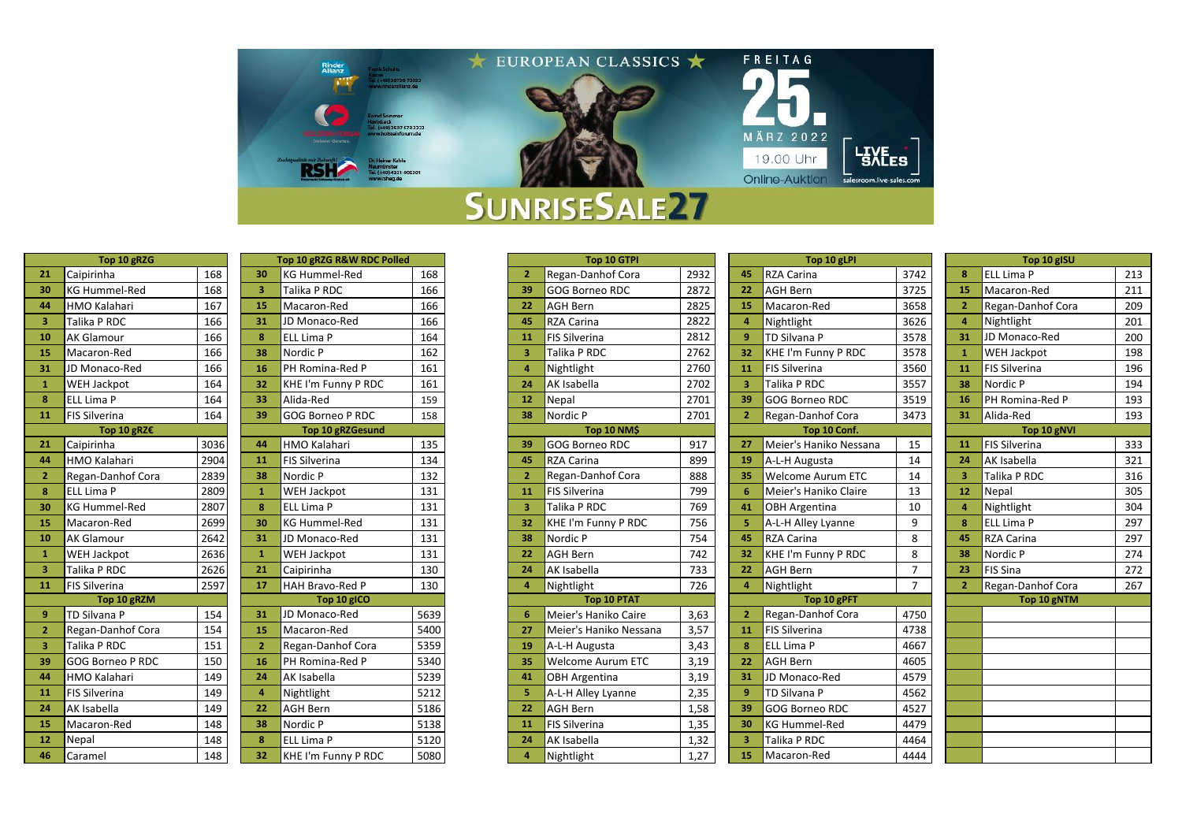

|                | Top 10 gRZG          |                 |
|----------------|----------------------|-----------------|
| 21             | Caipirinha           | 168             |
| 30             | <b>KG Hummel-Red</b> | 168             |
| 44             | HMO Kalahari         | 16 <sup>2</sup> |
| 3              | Talika P RDC         | 16              |
| 10             | <b>AK Glamour</b>    | 16              |
| 15             | Macaron-Red          | 16              |
| 31             | JD Monaco-Red        | 16              |
| $\mathbf{1}$   | WEH Jackpot          | 164             |
| 8              | ELL Lima P           | 16              |
| 11             | <b>FIS Silverina</b> | 164             |
|                | Top 10 gRZ€          |                 |
| 21             | Caipirinha           | 303             |
| 44             | HMO Kalahari         | 290             |
| $\overline{2}$ | Regan-Danhof Cora    | 283             |
| 8              | ELL Lima P           | 280             |
| 30             | <b>KG Hummel-Red</b> | 280             |
| 15             | Macaron-Red          | 269             |
| 10             | <b>AK Glamour</b>    | 264             |
| $\mathbf{1}$   | WEH Jackpot          | 263             |
| 3              | Talika P RDC         | 262             |
| 11             | <b>FIS Silverina</b> | 259             |
|                | Top 10 gRZM          |                 |
| 9              | TD Silvana P         | 15 <sub>4</sub> |
| $\overline{2}$ | Regan-Danhof Cora    | 154             |
| 3              | Talika P RDC         | 15 <sub>2</sub> |
| 39             | GOG Borneo P RDC     | 15              |
| 44             | HMO Kalahari         | 149             |
| 11             | <b>FIS Silverina</b> | 149             |
| 24             | AK Isabella          | 149             |
| 15             | Macaron-Red          | 148             |
| 12             | Nepal                | 148             |
| 46             | Caramel              | 148             |

|                | Top 10 gRZG R&W RDC Polled |      |
|----------------|----------------------------|------|
| 30             | <b>KG Hummel-Red</b>       | 168  |
| 3              | Talika P RDC               | 166  |
| 15             | Macaron-Red                | 166  |
| 31             | JD Monaco-Red              | 166  |
| 8              | <b>ELL Lima P</b>          | 164  |
| 38             | Nordic P                   | 162  |
| 16             | PH Romina-Red P            | 161  |
| 32             | KHE I'm Funny P RDC        | 161  |
| 33             | Alida-Red                  | 159  |
| 39             | <b>GOG Borneo P RDC</b>    | 158  |
|                | <b>Top 10 gRZGesund</b>    |      |
| 44             | HMO Kalahari               | 135  |
| 11             | <b>FIS Silverina</b>       | 134  |
| 38             | Nordic P                   | 132  |
| 1              | <b>WEH Jackpot</b>         | 131  |
| 8              | ELL Lima P                 | 131  |
| 30             | <b>KG Hummel-Red</b>       | 131  |
| 31             | JD Monaco-Red              | 131  |
| $\mathbf{1}$   | WEH Jackpot                | 131  |
| 21             | Caipirinha                 | 130  |
| 17             | HAH Bravo-Red P            | 130  |
|                | Top 10 gICO                |      |
| 31             | JD Monaco-Red              | 5639 |
| 15             | Macaron-Red                | 5400 |
| $\overline{2}$ | Regan-Danhof Cora          | 5359 |
| 16             | PH Romina-Red P            | 5340 |
| 24             | AK Isabella                | 5239 |
| 4              | Nightlight                 | 5212 |
| 22             | <b>AGH Bern</b>            | 5186 |
| 38             | Nordic P                   | 5138 |
| 8              | <b>ELL Lima P</b>          | 5120 |
| 32             | KHE I'm Funny P RDC        | 5080 |

|    | Top 10 gRZG             |      |             | Top 10 gRZG R&W RDC Polled |      |    | Top 10 GTPI              |                          |      |    | Top 10 gLPI              |                |                | Top 10 gISU          |     |
|----|-------------------------|------|-------------|----------------------------|------|----|--------------------------|--------------------------|------|----|--------------------------|----------------|----------------|----------------------|-----|
| 21 | Caipirinha              | 168  | 30          | <b>KG Hummel-Red</b>       | 168  |    |                          | Regan-Danhof Cora        | 2932 | 45 | <b>RZA Carina</b>        | 3742           |                | <b>ELL Lima P</b>    | 213 |
| 30 | <b>KG Hummel-Red</b>    | 168  | 3           | Talika P RDC               | 166  | 39 |                          | <b>GOG Borneo RDC</b>    | 2872 | 22 | <b>AGH Bern</b>          | 3725           | 15             | Macaron-Red          | 211 |
| 44 | <b>HMO Kalahari</b>     | 167  | 15          | Macaron-Red                | 166  | 22 | <b>AGH Bern</b>          |                          | 2825 | 15 | Macaron-Red              | 3658           | $\overline{2}$ | Regan-Danhof Cora    | 209 |
|    | Talika P RDC            | 166  | 31          | JD Monaco-Red              | 166  | 45 | RZA Carina               |                          | 2822 |    | Nightlight               | 3626           | J.             | Nightlight           | 201 |
|    | <b>AK Glamour</b>       | 166  | 8           | ELL Lima P                 | 164  | 11 |                          | <b>FIS Silverina</b>     | 2812 |    | <b>TD Silvana P</b>      | 3578           | 31             | JD Monaco-Red        | 200 |
| 15 | Macaron-Red             | 166  | 38          | Nordic P                   | 162  |    |                          | Talika P RDC             | 2762 | 32 | KHE I'm Funny P RDC      | 3578           |                | <b>WEH Jackpot</b>   | 198 |
| 31 | JD Monaco-Red           | 166  | 16          | PH Romina-Red P            | 161  |    | Nightlight               |                          | 2760 | 11 | <b>FIS Silverina</b>     | 3560           | 11             | <b>FIS Silverina</b> | 196 |
|    | <b>WEH Jackpot</b>      | 164  | 32          | KHE I'm Funny P RDC        | 161  | 24 | AK Isabella              |                          | 2702 |    | Talika P RDC             | 3557           | 38             | Nordic P             | 194 |
|    | ELL Lima P              | 164  | 33          | Alida-Red                  | 159  | 12 | Nepal                    |                          | 2701 | 39 | <b>GOG Borneo RDC</b>    | 3519           | 16             | PH Romina-Red P      | 193 |
| 11 | <b>FIS Silverina</b>    | 164  | 39          | <b>GOG Borneo P RDC</b>    | 158  | 38 | Nordic P                 |                          | 2701 |    | Regan-Danhof Cora        | 3473           | 31             | Alida-Red            | 193 |
|    | Top 10 gRZ $\epsilon$   |      |             | <b>Top 10 gRZGesund</b>    |      |    |                          | Top 10 NM\$              |      |    | Top 10 Conf.             |                |                | Top 10 gNVI          |     |
| 21 | Caipirinha              | 3036 | 44          | HMO Kalahari               | 135  | 39 |                          | <b>GOG Borneo RDC</b>    | 917  |    | Meier's Haniko Nessana   | 15             | 11             | <b>FIS Silverina</b> | 333 |
| 44 | <b>HMO Kalahari</b>     | 2904 | 11          | <b>FIS Silverina</b>       | 134  | 45 | <b>RZA Carina</b>        |                          | 899  | 19 | A-L-H Augusta            | 14             | 24             | <b>AK Isabella</b>   | 321 |
|    | Regan-Danhof Cora       | 2839 | 38          | Nordic P                   | 132  |    |                          | Regan-Danhof Cora        | 888  | 35 | <b>Welcome Aurum ETC</b> | 14             | -3             | Talika P RDC         | 316 |
|    | ELL Lima P              | 2809 |             | WEH Jackpot                | 131  | 11 |                          | <b>FIS Silverina</b>     | 799  |    | Meier's Haniko Claire    | 13             | 12             | Nepal                | 305 |
| 30 | <b>KG Hummel-Red</b>    | 2807 | 8           | ELL Lima P                 | 131  | з  |                          | Talika P RDC             | 769  | 41 | <b>OBH Argentina</b>     | 10             |                | Nightlight           | 304 |
| 15 | Macaron-Red             | 2699 | 30          | <b>KG Hummel-Red</b>       | 131  | 32 |                          | KHE I'm Funny P RDC      | 756  |    | A-L-H Alley Lyanne       | 9              | ×              | <b>ELL Lima P</b>    | 297 |
| 10 | <b>AK Glamour</b>       | 2642 | 31          | JD Monaco-Red              | 131  | 38 | Nordic P                 |                          | 754  | 45 | <b>RZA Carina</b>        | 8              | 45             | <b>RZA Carina</b>    | 297 |
|    | <b>WEH Jackpot</b>      | 2636 |             | WEH Jackpot                | 131  | 22 | <b>AGH Bern</b>          |                          | 742  | 32 | KHE I'm Funny P RDC      | 8              | 38             | Nordic P             | 274 |
|    | Talika P RDC            | 2626 | 21          | Caipirinha                 | 130  | 24 | AK Isabella              |                          | 733  | 22 | <b>AGH Bern</b>          | $\overline{7}$ | 23             | <b>FIS Sina</b>      | 272 |
| 11 | <b>FIS Silverina</b>    | 2597 | 17          | <b>HAH Bravo-Red P</b>     | 130  |    | Nightlight               |                          | 726  |    | Nightlight               | $\overline{7}$ |                | Regan-Danhof Cora    | 267 |
|    | Top 10 gRZM             |      |             | Top 10 gICO                |      |    |                          | Top 10 PTAT              |      |    | Top 10 gPFT              |                |                | Top 10 gNTM          |     |
|    | TD Silvana P            | 154  | 31          | JD Monaco-Red              | 5639 |    |                          | Meier's Haniko Caire     | 3,63 |    | Regan-Danhof Cora        | 4750           |                |                      |     |
|    | Regan-Danhof Cora       | 154  | 15          | Macaron-Red                | 5400 | 27 |                          | Meier's Haniko Nessana   | 3,57 | 11 | <b>FIS Silverina</b>     | 4738           |                |                      |     |
|    | Talika P RDC            | 151  |             | Regan-Danhof Cora          | 5359 | 19 |                          | A-L-H Augusta            | 3,43 |    | <b>ELL Lima P</b>        | 4667           |                |                      |     |
| 39 | <b>GOG Borneo P RDC</b> | 150  | 16          | PH Romina-Red P            | 5340 | 35 |                          | <b>Welcome Aurum ETC</b> | 3,19 | 22 | <b>AGH Bern</b>          | 4605           |                |                      |     |
| 44 | <b>HMO Kalahari</b>     | 149  | 24          | AK Isabella                | 5239 | 41 |                          | <b>OBH Argentina</b>     | 3,19 | 31 | JD Monaco-Red            | 4579           |                |                      |     |
| 11 | <b>FIS Silverina</b>    | 149  |             | Nightlight                 | 5212 |    |                          | A-L-H Alley Lyanne       | 2,35 |    | TD Silvana P             | 4562           |                |                      |     |
| 24 | AK Isabella             | 149  | 22          | <b>AGH Bern</b>            | 5186 | 22 | <b>AGH Bern</b>          |                          | 1,58 | 39 | <b>GOG Borneo RDC</b>    | 4527           |                |                      |     |
| 15 | Macaron-Red             | 148  | 38          | Nordic P                   | 5138 | 11 |                          | <b>FIS Silverina</b>     | 1,35 | 30 | <b>KG Hummel-Red</b>     | 4479           |                |                      |     |
| 12 | Nepal                   | 148  |             | <b>ELL Lima P</b>          | 5120 | 24 | AK Isabella              |                          | 1,32 | -3 | Talika P RDC             | 4464           |                |                      |     |
|    |                         | 1.00 | <b>SALE</b> | MILE II., E. G. L. B. BBC. | F000 |    | <b>Although Although</b> |                          | 4.27 |    | <b>AP BALLING BLJ</b>    | 0.000          |                |                      |     |

| 2932<br>3742<br>Caipirinha<br>168<br><b>KG Hummel-Red</b><br>168<br>Regan-Danhof Cora<br><b>RZA Carina</b><br>30<br>45<br>2872<br>3725<br><b>KG Hummel-Red</b><br>168<br>3<br>Talika P RDC<br><b>AGH Bern</b><br>166<br>39<br><b>GOG Borneo RDC</b><br>22<br>2825<br>Macaron-Red<br>Macaron-Red<br><b>HMO Kalahari</b><br>15<br>3658<br>167<br>166<br><b>AGH Bern</b><br>15<br>22<br>Talika P RDC<br>JD Monaco-Red<br>2822<br>3626<br>31<br><b>RZA Carina</b><br>Nightlight<br>166<br>166<br>$\overline{4}$<br>45<br><b>TD Silvana P</b><br>3578<br>166<br>8<br>ELL Lima P<br>164<br><b>FIS Silverina</b><br>2812<br>$\overline{9}$<br><b>AK Glamour</b><br>11<br>Macaron-Red<br>Nordic P<br>Talika P RDC<br>2762<br>3578<br>166<br>38<br>162<br><b>KHE I'm Funny P RDC</b><br>32<br>з<br>PH Romina-Red P<br>2760<br>3560<br>JD Monaco-Red<br>166<br>16<br>161<br>Nightlight<br><b>FIS Silverina</b><br>11<br>л<br>2702<br>$\overline{\mathbf{3}}$<br>Talika P RDC<br>3557<br>164<br>32<br><b>AK</b> Isabella<br><b>WEH Jackpot</b><br>KHE I'm Funny P RDC<br>161<br>24<br>Alida-Red<br>2701<br>3519<br><b>ELL Lima P</b><br>164<br>33<br>Nepal<br>39<br><b>GOG Borneo RDC</b><br>159<br>12<br><b>GOG Borneo P RDC</b><br>3473<br><b>FIS Silverina</b><br>164<br>39<br>38<br>Nordic P<br>2701<br>Regan-Danhof Cora<br>158<br>$\overline{2}$<br>Top 10 NM\$<br>Top 10 Conf.<br>Top 10 gRZ $\epsilon$<br>Top 10 gRZGesund<br>3036<br><b>GOG Borneo RDC</b><br>Meier's Haniko Nessana<br>Caipirinha<br>HMO Kalahari<br>917<br>15<br>44<br>135<br>39<br>27<br>899<br><b>HMO Kalahari</b><br>2904<br><b>FIS Silverina</b><br>134<br><b>RZA Carina</b><br>14<br>11<br>45<br>19<br>A-L-H Augusta<br>888<br><b>Welcome Aurum ETC</b><br>Regan-Danhof Cora<br>2839<br>38<br>Nordic P<br>132<br>Regan-Danhof Cora<br>14<br>35<br>799<br><b>ELL Lima P</b><br>2809<br><b>FIS Silverina</b><br>Meier's Haniko Claire<br>13<br>$\mathbf{1}$<br>WEH Jackpot<br>131<br>6<br>11<br><b>KG Hummel-Red</b><br>2807<br>8<br>ELL Lima P<br>Talika P RDC<br>769<br>131<br>3<br>10<br>41<br><b>OBH Argentina</b><br>Macaron-Red<br>2699<br><b>KG Hummel-Red</b><br>KHE I'm Funny P RDC<br>756<br>9<br>30<br>131<br>5<br>A-L-H Alley Lyanne<br>32<br>2642<br>Nordic P<br>754<br><b>RZA Carina</b><br>8<br><b>AK Glamour</b><br>31<br>JD Monaco-Red<br>131<br>38<br>45<br>8<br>2636<br>$\mathbf{1}$<br>WEH Jackpot<br><b>AGH Bern</b><br>742<br>32<br>KHE I'm Funny P RDC<br><b>WEH Jackpot</b><br>131<br>22<br>$\overline{7}$<br>733<br>Talika P RDC<br>2626<br>130<br><b>AK Isabella</b><br><b>AGH Bern</b><br>21<br>Caipirinha<br>22<br>24<br>$\overline{7}$<br>HAH Bravo-Red P<br><b>FIS Silverina</b><br>2597<br>17<br>130<br>726<br>Nightlight<br>4<br>Nightlight<br>Δ<br>Top 10 PTAT<br>Top 10 gPFT<br>Top 10 gRZM<br>Top 10 gICO<br><b>TD Silvana P</b><br>5639<br>Meier's Haniko Caire<br>3,63<br>Regan-Danhof Cora<br>4750<br>154<br>JD Monaco-Red<br>31<br>$\overline{2}$<br>6<br>4738<br>15<br>5400<br>3,57<br><b>FIS Silverina</b><br>Regan-Danhof Cora<br>154<br>Macaron-Red<br>Meier's Haniko Nessana<br>27<br>11<br>$\overline{2}$<br>5359<br>4667<br>Talika P RDC<br>151<br>Regan-Danhof Cora<br>3,43<br>ELL Lima P<br>19<br>A-L-H Augusta<br>8<br>5340<br><b>GOG Borneo P RDC</b><br>PH Romina-Red P<br><b>Welcome Aurum ETC</b><br>3,19<br><b>AGH Bern</b><br>4605<br>150<br>16<br>22<br>35<br>5239<br>4579<br><b>HMO Kalahari</b><br>149<br>24<br>AK Isabella<br>3,19<br>31<br>JD Monaco-Red<br>41<br><b>OBH</b> Argentina<br>5212<br>2,35<br>TD Silvana P<br>4562<br><b>FIS Silverina</b><br>149<br>$\overline{4}$<br>A-L-H Alley Lyanne<br>9<br>Nightlight<br>5186<br><b>AGH Bern</b><br>1,58<br>4527<br>AK Isabella<br>149<br>22<br><b>AGH Bern</b><br><b>GOG Borneo RDC</b><br>22<br>39<br>Macaron-Red<br>4479<br>38<br>Nordic P<br>5138<br><b>FIS Silverina</b><br>1,35<br>30<br>148<br><b>KG Hummel-Red</b><br>11<br>5120<br>8<br>ELL Lima P<br><b>AK Isabella</b><br>1,32<br>Talika P RDC<br>4464<br>Nepal<br>148<br>3<br>24<br>32<br>1,27<br>148<br>5080<br>Nightlight<br>Macaron-Red<br>4444<br>Caramel<br>KHE I'm Funny P RDC<br>15<br>4 |                | Top 10 gRZG |  | Top 10 gRZG R&W RDC Polled |  |  | Top 10 GTPI |  |  | Top 10 gLPI |  |  |
|-----------------------------------------------------------------------------------------------------------------------------------------------------------------------------------------------------------------------------------------------------------------------------------------------------------------------------------------------------------------------------------------------------------------------------------------------------------------------------------------------------------------------------------------------------------------------------------------------------------------------------------------------------------------------------------------------------------------------------------------------------------------------------------------------------------------------------------------------------------------------------------------------------------------------------------------------------------------------------------------------------------------------------------------------------------------------------------------------------------------------------------------------------------------------------------------------------------------------------------------------------------------------------------------------------------------------------------------------------------------------------------------------------------------------------------------------------------------------------------------------------------------------------------------------------------------------------------------------------------------------------------------------------------------------------------------------------------------------------------------------------------------------------------------------------------------------------------------------------------------------------------------------------------------------------------------------------------------------------------------------------------------------------------------------------------------------------------------------------------------------------------------------------------------------------------------------------------------------------------------------------------------------------------------------------------------------------------------------------------------------------------------------------------------------------------------------------------------------------------------------------------------------------------------------------------------------------------------------------------------------------------------------------------------------------------------------------------------------------------------------------------------------------------------------------------------------------------------------------------------------------------------------------------------------------------------------------------------------------------------------------------------------------------------------------------------------------------------------------------------------------------------------------------------------------------------------------------------------------------------------------------------------------------------------------------------------------------------------------------------------------------------------------------------------------------------------------------------------------------------------------------------------------------------------------------------------------------------------------------------------------------------------------------------------------------------------------------------------------------------------------------------------------------------------------------------------------------------------------------------------------------------------------------------------------------------------------------------------------------------------------------------------------------------------------------------------------------------------------------------------------------------------|----------------|-------------|--|----------------------------|--|--|-------------|--|--|-------------|--|--|
|                                                                                                                                                                                                                                                                                                                                                                                                                                                                                                                                                                                                                                                                                                                                                                                                                                                                                                                                                                                                                                                                                                                                                                                                                                                                                                                                                                                                                                                                                                                                                                                                                                                                                                                                                                                                                                                                                                                                                                                                                                                                                                                                                                                                                                                                                                                                                                                                                                                                                                                                                                                                                                                                                                                                                                                                                                                                                                                                                                                                                                                                                                                                                                                                                                                                                                                                                                                                                                                                                                                                                                                                                                                                                                                                                                                                                                                                                                                                                                                                                                                                                                                                               | 21             |             |  |                            |  |  |             |  |  |             |  |  |
|                                                                                                                                                                                                                                                                                                                                                                                                                                                                                                                                                                                                                                                                                                                                                                                                                                                                                                                                                                                                                                                                                                                                                                                                                                                                                                                                                                                                                                                                                                                                                                                                                                                                                                                                                                                                                                                                                                                                                                                                                                                                                                                                                                                                                                                                                                                                                                                                                                                                                                                                                                                                                                                                                                                                                                                                                                                                                                                                                                                                                                                                                                                                                                                                                                                                                                                                                                                                                                                                                                                                                                                                                                                                                                                                                                                                                                                                                                                                                                                                                                                                                                                                               | 30             |             |  |                            |  |  |             |  |  |             |  |  |
|                                                                                                                                                                                                                                                                                                                                                                                                                                                                                                                                                                                                                                                                                                                                                                                                                                                                                                                                                                                                                                                                                                                                                                                                                                                                                                                                                                                                                                                                                                                                                                                                                                                                                                                                                                                                                                                                                                                                                                                                                                                                                                                                                                                                                                                                                                                                                                                                                                                                                                                                                                                                                                                                                                                                                                                                                                                                                                                                                                                                                                                                                                                                                                                                                                                                                                                                                                                                                                                                                                                                                                                                                                                                                                                                                                                                                                                                                                                                                                                                                                                                                                                                               | 44             |             |  |                            |  |  |             |  |  |             |  |  |
|                                                                                                                                                                                                                                                                                                                                                                                                                                                                                                                                                                                                                                                                                                                                                                                                                                                                                                                                                                                                                                                                                                                                                                                                                                                                                                                                                                                                                                                                                                                                                                                                                                                                                                                                                                                                                                                                                                                                                                                                                                                                                                                                                                                                                                                                                                                                                                                                                                                                                                                                                                                                                                                                                                                                                                                                                                                                                                                                                                                                                                                                                                                                                                                                                                                                                                                                                                                                                                                                                                                                                                                                                                                                                                                                                                                                                                                                                                                                                                                                                                                                                                                                               | 3              |             |  |                            |  |  |             |  |  |             |  |  |
|                                                                                                                                                                                                                                                                                                                                                                                                                                                                                                                                                                                                                                                                                                                                                                                                                                                                                                                                                                                                                                                                                                                                                                                                                                                                                                                                                                                                                                                                                                                                                                                                                                                                                                                                                                                                                                                                                                                                                                                                                                                                                                                                                                                                                                                                                                                                                                                                                                                                                                                                                                                                                                                                                                                                                                                                                                                                                                                                                                                                                                                                                                                                                                                                                                                                                                                                                                                                                                                                                                                                                                                                                                                                                                                                                                                                                                                                                                                                                                                                                                                                                                                                               | 10             |             |  |                            |  |  |             |  |  |             |  |  |
|                                                                                                                                                                                                                                                                                                                                                                                                                                                                                                                                                                                                                                                                                                                                                                                                                                                                                                                                                                                                                                                                                                                                                                                                                                                                                                                                                                                                                                                                                                                                                                                                                                                                                                                                                                                                                                                                                                                                                                                                                                                                                                                                                                                                                                                                                                                                                                                                                                                                                                                                                                                                                                                                                                                                                                                                                                                                                                                                                                                                                                                                                                                                                                                                                                                                                                                                                                                                                                                                                                                                                                                                                                                                                                                                                                                                                                                                                                                                                                                                                                                                                                                                               | 15             |             |  |                            |  |  |             |  |  |             |  |  |
|                                                                                                                                                                                                                                                                                                                                                                                                                                                                                                                                                                                                                                                                                                                                                                                                                                                                                                                                                                                                                                                                                                                                                                                                                                                                                                                                                                                                                                                                                                                                                                                                                                                                                                                                                                                                                                                                                                                                                                                                                                                                                                                                                                                                                                                                                                                                                                                                                                                                                                                                                                                                                                                                                                                                                                                                                                                                                                                                                                                                                                                                                                                                                                                                                                                                                                                                                                                                                                                                                                                                                                                                                                                                                                                                                                                                                                                                                                                                                                                                                                                                                                                                               | 31             |             |  |                            |  |  |             |  |  |             |  |  |
|                                                                                                                                                                                                                                                                                                                                                                                                                                                                                                                                                                                                                                                                                                                                                                                                                                                                                                                                                                                                                                                                                                                                                                                                                                                                                                                                                                                                                                                                                                                                                                                                                                                                                                                                                                                                                                                                                                                                                                                                                                                                                                                                                                                                                                                                                                                                                                                                                                                                                                                                                                                                                                                                                                                                                                                                                                                                                                                                                                                                                                                                                                                                                                                                                                                                                                                                                                                                                                                                                                                                                                                                                                                                                                                                                                                                                                                                                                                                                                                                                                                                                                                                               | $\mathbf{1}$   |             |  |                            |  |  |             |  |  |             |  |  |
|                                                                                                                                                                                                                                                                                                                                                                                                                                                                                                                                                                                                                                                                                                                                                                                                                                                                                                                                                                                                                                                                                                                                                                                                                                                                                                                                                                                                                                                                                                                                                                                                                                                                                                                                                                                                                                                                                                                                                                                                                                                                                                                                                                                                                                                                                                                                                                                                                                                                                                                                                                                                                                                                                                                                                                                                                                                                                                                                                                                                                                                                                                                                                                                                                                                                                                                                                                                                                                                                                                                                                                                                                                                                                                                                                                                                                                                                                                                                                                                                                                                                                                                                               | $\bf{8}$       |             |  |                            |  |  |             |  |  |             |  |  |
|                                                                                                                                                                                                                                                                                                                                                                                                                                                                                                                                                                                                                                                                                                                                                                                                                                                                                                                                                                                                                                                                                                                                                                                                                                                                                                                                                                                                                                                                                                                                                                                                                                                                                                                                                                                                                                                                                                                                                                                                                                                                                                                                                                                                                                                                                                                                                                                                                                                                                                                                                                                                                                                                                                                                                                                                                                                                                                                                                                                                                                                                                                                                                                                                                                                                                                                                                                                                                                                                                                                                                                                                                                                                                                                                                                                                                                                                                                                                                                                                                                                                                                                                               | 11             |             |  |                            |  |  |             |  |  |             |  |  |
|                                                                                                                                                                                                                                                                                                                                                                                                                                                                                                                                                                                                                                                                                                                                                                                                                                                                                                                                                                                                                                                                                                                                                                                                                                                                                                                                                                                                                                                                                                                                                                                                                                                                                                                                                                                                                                                                                                                                                                                                                                                                                                                                                                                                                                                                                                                                                                                                                                                                                                                                                                                                                                                                                                                                                                                                                                                                                                                                                                                                                                                                                                                                                                                                                                                                                                                                                                                                                                                                                                                                                                                                                                                                                                                                                                                                                                                                                                                                                                                                                                                                                                                                               |                |             |  |                            |  |  |             |  |  |             |  |  |
|                                                                                                                                                                                                                                                                                                                                                                                                                                                                                                                                                                                                                                                                                                                                                                                                                                                                                                                                                                                                                                                                                                                                                                                                                                                                                                                                                                                                                                                                                                                                                                                                                                                                                                                                                                                                                                                                                                                                                                                                                                                                                                                                                                                                                                                                                                                                                                                                                                                                                                                                                                                                                                                                                                                                                                                                                                                                                                                                                                                                                                                                                                                                                                                                                                                                                                                                                                                                                                                                                                                                                                                                                                                                                                                                                                                                                                                                                                                                                                                                                                                                                                                                               | 21             |             |  |                            |  |  |             |  |  |             |  |  |
|                                                                                                                                                                                                                                                                                                                                                                                                                                                                                                                                                                                                                                                                                                                                                                                                                                                                                                                                                                                                                                                                                                                                                                                                                                                                                                                                                                                                                                                                                                                                                                                                                                                                                                                                                                                                                                                                                                                                                                                                                                                                                                                                                                                                                                                                                                                                                                                                                                                                                                                                                                                                                                                                                                                                                                                                                                                                                                                                                                                                                                                                                                                                                                                                                                                                                                                                                                                                                                                                                                                                                                                                                                                                                                                                                                                                                                                                                                                                                                                                                                                                                                                                               | 44             |             |  |                            |  |  |             |  |  |             |  |  |
|                                                                                                                                                                                                                                                                                                                                                                                                                                                                                                                                                                                                                                                                                                                                                                                                                                                                                                                                                                                                                                                                                                                                                                                                                                                                                                                                                                                                                                                                                                                                                                                                                                                                                                                                                                                                                                                                                                                                                                                                                                                                                                                                                                                                                                                                                                                                                                                                                                                                                                                                                                                                                                                                                                                                                                                                                                                                                                                                                                                                                                                                                                                                                                                                                                                                                                                                                                                                                                                                                                                                                                                                                                                                                                                                                                                                                                                                                                                                                                                                                                                                                                                                               | $\overline{2}$ |             |  |                            |  |  |             |  |  |             |  |  |
|                                                                                                                                                                                                                                                                                                                                                                                                                                                                                                                                                                                                                                                                                                                                                                                                                                                                                                                                                                                                                                                                                                                                                                                                                                                                                                                                                                                                                                                                                                                                                                                                                                                                                                                                                                                                                                                                                                                                                                                                                                                                                                                                                                                                                                                                                                                                                                                                                                                                                                                                                                                                                                                                                                                                                                                                                                                                                                                                                                                                                                                                                                                                                                                                                                                                                                                                                                                                                                                                                                                                                                                                                                                                                                                                                                                                                                                                                                                                                                                                                                                                                                                                               | 8              |             |  |                            |  |  |             |  |  |             |  |  |
|                                                                                                                                                                                                                                                                                                                                                                                                                                                                                                                                                                                                                                                                                                                                                                                                                                                                                                                                                                                                                                                                                                                                                                                                                                                                                                                                                                                                                                                                                                                                                                                                                                                                                                                                                                                                                                                                                                                                                                                                                                                                                                                                                                                                                                                                                                                                                                                                                                                                                                                                                                                                                                                                                                                                                                                                                                                                                                                                                                                                                                                                                                                                                                                                                                                                                                                                                                                                                                                                                                                                                                                                                                                                                                                                                                                                                                                                                                                                                                                                                                                                                                                                               | 30             |             |  |                            |  |  |             |  |  |             |  |  |
|                                                                                                                                                                                                                                                                                                                                                                                                                                                                                                                                                                                                                                                                                                                                                                                                                                                                                                                                                                                                                                                                                                                                                                                                                                                                                                                                                                                                                                                                                                                                                                                                                                                                                                                                                                                                                                                                                                                                                                                                                                                                                                                                                                                                                                                                                                                                                                                                                                                                                                                                                                                                                                                                                                                                                                                                                                                                                                                                                                                                                                                                                                                                                                                                                                                                                                                                                                                                                                                                                                                                                                                                                                                                                                                                                                                                                                                                                                                                                                                                                                                                                                                                               | 15             |             |  |                            |  |  |             |  |  |             |  |  |
|                                                                                                                                                                                                                                                                                                                                                                                                                                                                                                                                                                                                                                                                                                                                                                                                                                                                                                                                                                                                                                                                                                                                                                                                                                                                                                                                                                                                                                                                                                                                                                                                                                                                                                                                                                                                                                                                                                                                                                                                                                                                                                                                                                                                                                                                                                                                                                                                                                                                                                                                                                                                                                                                                                                                                                                                                                                                                                                                                                                                                                                                                                                                                                                                                                                                                                                                                                                                                                                                                                                                                                                                                                                                                                                                                                                                                                                                                                                                                                                                                                                                                                                                               | 10             |             |  |                            |  |  |             |  |  |             |  |  |
|                                                                                                                                                                                                                                                                                                                                                                                                                                                                                                                                                                                                                                                                                                                                                                                                                                                                                                                                                                                                                                                                                                                                                                                                                                                                                                                                                                                                                                                                                                                                                                                                                                                                                                                                                                                                                                                                                                                                                                                                                                                                                                                                                                                                                                                                                                                                                                                                                                                                                                                                                                                                                                                                                                                                                                                                                                                                                                                                                                                                                                                                                                                                                                                                                                                                                                                                                                                                                                                                                                                                                                                                                                                                                                                                                                                                                                                                                                                                                                                                                                                                                                                                               | $\mathbf{1}$   |             |  |                            |  |  |             |  |  |             |  |  |
|                                                                                                                                                                                                                                                                                                                                                                                                                                                                                                                                                                                                                                                                                                                                                                                                                                                                                                                                                                                                                                                                                                                                                                                                                                                                                                                                                                                                                                                                                                                                                                                                                                                                                                                                                                                                                                                                                                                                                                                                                                                                                                                                                                                                                                                                                                                                                                                                                                                                                                                                                                                                                                                                                                                                                                                                                                                                                                                                                                                                                                                                                                                                                                                                                                                                                                                                                                                                                                                                                                                                                                                                                                                                                                                                                                                                                                                                                                                                                                                                                                                                                                                                               | 3              |             |  |                            |  |  |             |  |  |             |  |  |
|                                                                                                                                                                                                                                                                                                                                                                                                                                                                                                                                                                                                                                                                                                                                                                                                                                                                                                                                                                                                                                                                                                                                                                                                                                                                                                                                                                                                                                                                                                                                                                                                                                                                                                                                                                                                                                                                                                                                                                                                                                                                                                                                                                                                                                                                                                                                                                                                                                                                                                                                                                                                                                                                                                                                                                                                                                                                                                                                                                                                                                                                                                                                                                                                                                                                                                                                                                                                                                                                                                                                                                                                                                                                                                                                                                                                                                                                                                                                                                                                                                                                                                                                               | 11             |             |  |                            |  |  |             |  |  |             |  |  |
|                                                                                                                                                                                                                                                                                                                                                                                                                                                                                                                                                                                                                                                                                                                                                                                                                                                                                                                                                                                                                                                                                                                                                                                                                                                                                                                                                                                                                                                                                                                                                                                                                                                                                                                                                                                                                                                                                                                                                                                                                                                                                                                                                                                                                                                                                                                                                                                                                                                                                                                                                                                                                                                                                                                                                                                                                                                                                                                                                                                                                                                                                                                                                                                                                                                                                                                                                                                                                                                                                                                                                                                                                                                                                                                                                                                                                                                                                                                                                                                                                                                                                                                                               |                |             |  |                            |  |  |             |  |  |             |  |  |
|                                                                                                                                                                                                                                                                                                                                                                                                                                                                                                                                                                                                                                                                                                                                                                                                                                                                                                                                                                                                                                                                                                                                                                                                                                                                                                                                                                                                                                                                                                                                                                                                                                                                                                                                                                                                                                                                                                                                                                                                                                                                                                                                                                                                                                                                                                                                                                                                                                                                                                                                                                                                                                                                                                                                                                                                                                                                                                                                                                                                                                                                                                                                                                                                                                                                                                                                                                                                                                                                                                                                                                                                                                                                                                                                                                                                                                                                                                                                                                                                                                                                                                                                               | $\overline{9}$ |             |  |                            |  |  |             |  |  |             |  |  |
|                                                                                                                                                                                                                                                                                                                                                                                                                                                                                                                                                                                                                                                                                                                                                                                                                                                                                                                                                                                                                                                                                                                                                                                                                                                                                                                                                                                                                                                                                                                                                                                                                                                                                                                                                                                                                                                                                                                                                                                                                                                                                                                                                                                                                                                                                                                                                                                                                                                                                                                                                                                                                                                                                                                                                                                                                                                                                                                                                                                                                                                                                                                                                                                                                                                                                                                                                                                                                                                                                                                                                                                                                                                                                                                                                                                                                                                                                                                                                                                                                                                                                                                                               | $\overline{2}$ |             |  |                            |  |  |             |  |  |             |  |  |
|                                                                                                                                                                                                                                                                                                                                                                                                                                                                                                                                                                                                                                                                                                                                                                                                                                                                                                                                                                                                                                                                                                                                                                                                                                                                                                                                                                                                                                                                                                                                                                                                                                                                                                                                                                                                                                                                                                                                                                                                                                                                                                                                                                                                                                                                                                                                                                                                                                                                                                                                                                                                                                                                                                                                                                                                                                                                                                                                                                                                                                                                                                                                                                                                                                                                                                                                                                                                                                                                                                                                                                                                                                                                                                                                                                                                                                                                                                                                                                                                                                                                                                                                               | 3              |             |  |                            |  |  |             |  |  |             |  |  |
|                                                                                                                                                                                                                                                                                                                                                                                                                                                                                                                                                                                                                                                                                                                                                                                                                                                                                                                                                                                                                                                                                                                                                                                                                                                                                                                                                                                                                                                                                                                                                                                                                                                                                                                                                                                                                                                                                                                                                                                                                                                                                                                                                                                                                                                                                                                                                                                                                                                                                                                                                                                                                                                                                                                                                                                                                                                                                                                                                                                                                                                                                                                                                                                                                                                                                                                                                                                                                                                                                                                                                                                                                                                                                                                                                                                                                                                                                                                                                                                                                                                                                                                                               | 39             |             |  |                            |  |  |             |  |  |             |  |  |
|                                                                                                                                                                                                                                                                                                                                                                                                                                                                                                                                                                                                                                                                                                                                                                                                                                                                                                                                                                                                                                                                                                                                                                                                                                                                                                                                                                                                                                                                                                                                                                                                                                                                                                                                                                                                                                                                                                                                                                                                                                                                                                                                                                                                                                                                                                                                                                                                                                                                                                                                                                                                                                                                                                                                                                                                                                                                                                                                                                                                                                                                                                                                                                                                                                                                                                                                                                                                                                                                                                                                                                                                                                                                                                                                                                                                                                                                                                                                                                                                                                                                                                                                               | 44             |             |  |                            |  |  |             |  |  |             |  |  |
|                                                                                                                                                                                                                                                                                                                                                                                                                                                                                                                                                                                                                                                                                                                                                                                                                                                                                                                                                                                                                                                                                                                                                                                                                                                                                                                                                                                                                                                                                                                                                                                                                                                                                                                                                                                                                                                                                                                                                                                                                                                                                                                                                                                                                                                                                                                                                                                                                                                                                                                                                                                                                                                                                                                                                                                                                                                                                                                                                                                                                                                                                                                                                                                                                                                                                                                                                                                                                                                                                                                                                                                                                                                                                                                                                                                                                                                                                                                                                                                                                                                                                                                                               | 11             |             |  |                            |  |  |             |  |  |             |  |  |
|                                                                                                                                                                                                                                                                                                                                                                                                                                                                                                                                                                                                                                                                                                                                                                                                                                                                                                                                                                                                                                                                                                                                                                                                                                                                                                                                                                                                                                                                                                                                                                                                                                                                                                                                                                                                                                                                                                                                                                                                                                                                                                                                                                                                                                                                                                                                                                                                                                                                                                                                                                                                                                                                                                                                                                                                                                                                                                                                                                                                                                                                                                                                                                                                                                                                                                                                                                                                                                                                                                                                                                                                                                                                                                                                                                                                                                                                                                                                                                                                                                                                                                                                               | 24             |             |  |                            |  |  |             |  |  |             |  |  |
|                                                                                                                                                                                                                                                                                                                                                                                                                                                                                                                                                                                                                                                                                                                                                                                                                                                                                                                                                                                                                                                                                                                                                                                                                                                                                                                                                                                                                                                                                                                                                                                                                                                                                                                                                                                                                                                                                                                                                                                                                                                                                                                                                                                                                                                                                                                                                                                                                                                                                                                                                                                                                                                                                                                                                                                                                                                                                                                                                                                                                                                                                                                                                                                                                                                                                                                                                                                                                                                                                                                                                                                                                                                                                                                                                                                                                                                                                                                                                                                                                                                                                                                                               | 15             |             |  |                            |  |  |             |  |  |             |  |  |
|                                                                                                                                                                                                                                                                                                                                                                                                                                                                                                                                                                                                                                                                                                                                                                                                                                                                                                                                                                                                                                                                                                                                                                                                                                                                                                                                                                                                                                                                                                                                                                                                                                                                                                                                                                                                                                                                                                                                                                                                                                                                                                                                                                                                                                                                                                                                                                                                                                                                                                                                                                                                                                                                                                                                                                                                                                                                                                                                                                                                                                                                                                                                                                                                                                                                                                                                                                                                                                                                                                                                                                                                                                                                                                                                                                                                                                                                                                                                                                                                                                                                                                                                               | 12             |             |  |                            |  |  |             |  |  |             |  |  |
|                                                                                                                                                                                                                                                                                                                                                                                                                                                                                                                                                                                                                                                                                                                                                                                                                                                                                                                                                                                                                                                                                                                                                                                                                                                                                                                                                                                                                                                                                                                                                                                                                                                                                                                                                                                                                                                                                                                                                                                                                                                                                                                                                                                                                                                                                                                                                                                                                                                                                                                                                                                                                                                                                                                                                                                                                                                                                                                                                                                                                                                                                                                                                                                                                                                                                                                                                                                                                                                                                                                                                                                                                                                                                                                                                                                                                                                                                                                                                                                                                                                                                                                                               | 46             |             |  |                            |  |  |             |  |  |             |  |  |

|                | Top 10 gISU          |     |
|----------------|----------------------|-----|
| 8              | <b>ELL Lima P</b>    | 213 |
| 15             | Macaron-Red          | 211 |
| $\overline{2}$ | Regan-Danhof Cora    | 209 |
| 4              | Nightlight           | 201 |
| 31             | JD Monaco-Red        | 200 |
| 1              | <b>WEH Jackpot</b>   | 198 |
| 11             | <b>FIS Silverina</b> | 196 |
| 38             | Nordic P             | 194 |
| 16             | PH Romina-Red P      | 193 |
| 31             | Alida-Red            | 193 |
|                | Top 10 gNVI          |     |
| 11             | <b>FIS Silverina</b> | 333 |
| 24             | AK Isabella          | 321 |
| 3              | Talika P RDC         | 316 |
| 12             | Nepal                | 305 |
| 4              | Nightlight           | 304 |
| 8              | <b>ELL Lima P</b>    | 297 |
| 45             | RZA Carina           | 297 |
| 38             | Nordic P             | 274 |
| 23             | <b>FIS Sina</b>      | 272 |
| 2              | Regan-Danhof Cora    | 267 |
|                | Top 10 gNTM          |     |
|                |                      |     |
|                |                      |     |
|                |                      |     |
|                |                      |     |
|                |                      |     |
|                |                      |     |
|                |                      |     |
|                |                      |     |
|                |                      |     |
|                |                      |     |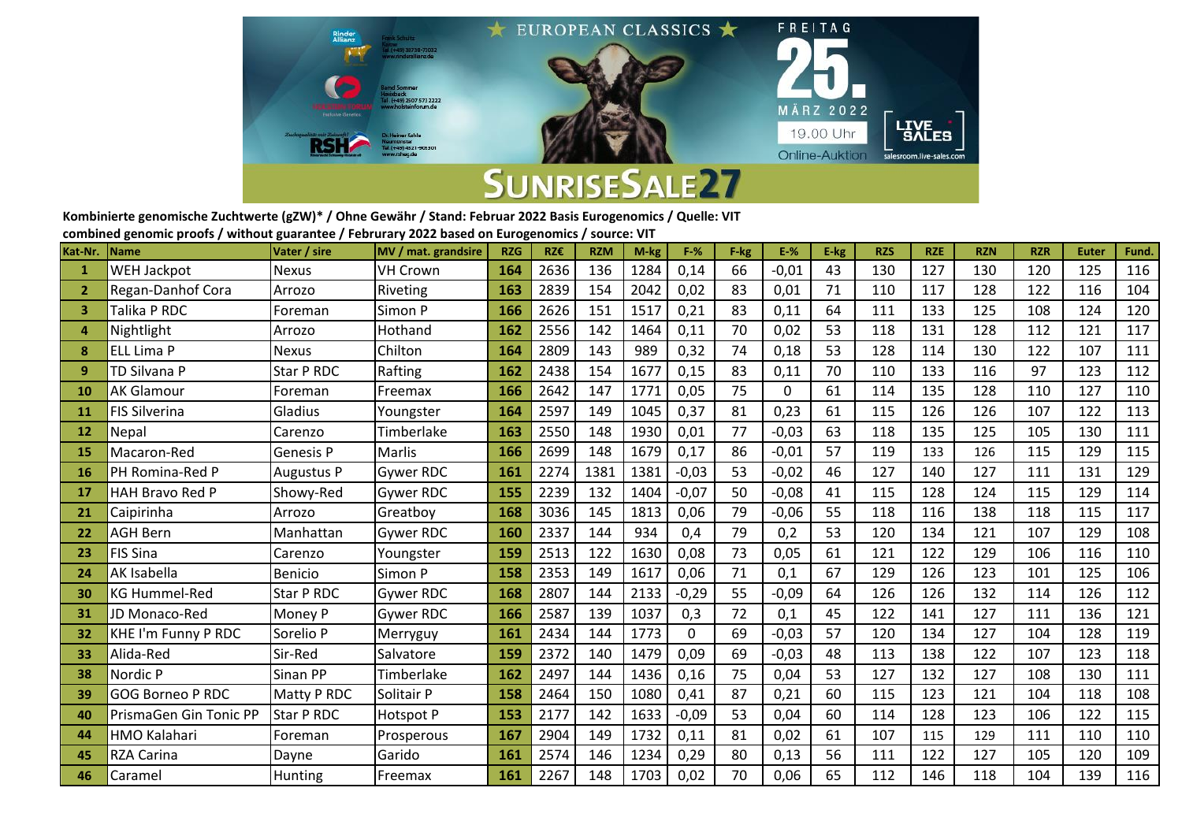

**Kombinierte genomische Zuchtwerte (gZW)\* / Ohne Gewähr / Stand: Februar 2022 Basis Eurogenomics / Quelle: VIT combined genomic proofs / without guarantee / Februrary 2022 based on Eurogenomics / source: VIT**

|              | combined genomic proots / without guarantee / rebrurary 2022 based on Eurogenomics / source. ViT |                   |                     |            |      |            |      |          |      |         |      |            |            |            |            |              |       |
|--------------|--------------------------------------------------------------------------------------------------|-------------------|---------------------|------------|------|------------|------|----------|------|---------|------|------------|------------|------------|------------|--------------|-------|
| Kat-Nr.      | <b>Name</b>                                                                                      | Vater / sire      | MV / mat. grandsire | <b>RZG</b> | RZ€  | <b>RZM</b> | M-kg | $F-%$    | F-kg | $E-%$   | E-kg | <b>RZS</b> | <b>RZE</b> | <b>RZN</b> | <b>RZR</b> | <b>Euter</b> | Fund. |
| $\mathbf{1}$ | <b>WEH Jackpot</b>                                                                               | <b>Nexus</b>      | <b>VH Crown</b>     | 164        | 2636 | 136        | 1284 | 0,14     | 66   | $-0,01$ | 43   | 130        | 127        | 130        | 120        | 125          | 116   |
| -2           | Regan-Danhof Cora                                                                                | Arrozo            | Riveting            | 163        | 2839 | 154        | 2042 | 0,02     | 83   | 0,01    | 71   | 110        | 117        | 128        | 122        | 116          | 104   |
| 3            | Talika P RDC                                                                                     | Foreman           | Simon P             | 166        | 2626 | 151        | 1517 | 0,21     | 83   | 0,11    | 64   | 111        | 133        | 125        | 108        | 124          | 120   |
| 4            | Nightlight                                                                                       | Arrozo            | Hothand             | 162        | 2556 | 142        | 1464 | 0,11     | 70   | 0,02    | 53   | 118        | 131        | 128        | 112        | 121          | 117   |
| 8            | <b>ELL Lima P</b>                                                                                | <b>Nexus</b>      | Chilton             | 164        | 2809 | 143        | 989  | 0,32     | 74   | 0,18    | 53   | 128        | 114        | 130        | 122        | 107          | 111   |
| 9            | TD Silvana P                                                                                     | Star P RDC        | Rafting             | 162        | 2438 | 154        | 1677 | 0,15     | 83   | 0,11    | 70   | 110        | 133        | 116        | 97         | 123          | 112   |
| 10           | <b>AK Glamour</b>                                                                                | Foreman           | Freemax             | 166        | 2642 | 147        | 1771 | 0,05     | 75   | 0       | 61   | 114        | 135        | 128        | 110        | 127          | 110   |
| <b>11</b>    | <b>FIS Silverina</b>                                                                             | Gladius           | Youngster           | 164        | 2597 | 149        | 1045 | 0,37     | 81   | 0,23    | 61   | 115        | 126        | 126        | 107        | 122          | 113   |
| 12           | Nepal                                                                                            | Carenzo           | Timberlake          | 163        | 2550 | 148        | 1930 | 0,01     | 77   | $-0,03$ | 63   | 118        | 135        | 125        | 105        | 130          | 111   |
| -15          | Macaron-Red                                                                                      | Genesis P         | Marlis              | 166        | 2699 | 148        | 1679 | 0,17     | 86   | $-0,01$ | 57   | 119        | 133        | 126        | 115        | 129          | 115   |
| <b>16</b>    | PH Romina-Red P                                                                                  | Augustus P        | Gywer RDC           | 161        | 2274 | 1381       | 1381 | $-0,03$  | 53   | $-0,02$ | 46   | 127        | 140        | 127        | 111        | 131          | 129   |
| <b>17</b>    | <b>HAH Bravo Red P</b>                                                                           | Showy-Red         | <b>Gywer RDC</b>    | 155        | 2239 | 132        | 1404 | $-0,07$  | 50   | $-0,08$ | 41   | 115        | 128        | 124        | 115        | 129          | 114   |
| 21           | Caipirinha                                                                                       | Arrozo            | Greatbov            | 168        | 3036 | 145        | 1813 | 0,06     | 79   | $-0,06$ | 55   | 118        | 116        | 138        | 118        | 115          | 117   |
| 22           | <b>AGH Bern</b>                                                                                  | Manhattan         | <b>Gywer RDC</b>    | <b>160</b> | 2337 | 144        | 934  | 0,4      | 79   | 0,2     | 53   | 120        | 134        | 121        | 107        | 129          | 108   |
| 23           | <b>FIS Sina</b>                                                                                  | Carenzo           | Youngster           | 159        | 2513 | 122        | 1630 | 0,08     | 73   | 0,05    | 61   | 121        | 122        | 129        | 106        | 116          | 110   |
| 24           | AK Isabella                                                                                      | <b>Benicio</b>    | Simon P             | 158        | 2353 | 149        | 1617 | 0,06     | 71   | 0,1     | 67   | 129        | 126        | 123        | 101        | 125          | 106   |
| 30           | <b>KG Hummel-Red</b>                                                                             | Star P RDC        | <b>Gywer RDC</b>    | 168        | 2807 | 144        | 2133 | $-0,29$  | 55   | $-0,09$ | 64   | 126        | 126        | 132        | 114        | 126          | 112   |
| 31           | JD Monaco-Red                                                                                    | Money P           | <b>Gywer RDC</b>    | 166        | 2587 | 139        | 1037 | 0,3      | 72   | 0,1     | 45   | 122        | 141        | 127        | 111        | 136          | 121   |
| 32           | KHE I'm Funny P RDC                                                                              | Sorelio P         | Merryguy            | 161        | 2434 | 144        | 1773 | $\Omega$ | 69   | $-0,03$ | 57   | 120        | 134        | 127        | 104        | 128          | 119   |
| 33           | Alida-Red                                                                                        | Sir-Red           | Salvatore           | 159        | 2372 | 140        | 1479 | 0,09     | 69   | $-0,03$ | 48   | 113        | 138        | 122        | 107        | 123          | 118   |
| 38           | Nordic P                                                                                         | Sinan PP          | Timberlake          | 162        | 2497 | 144        | 1436 | 0,16     | 75   | 0,04    | 53   | 127        | 132        | 127        | 108        | 130          | 111   |
| 39           | <b>GOG Borneo P RDC</b>                                                                          | Matty P RDC       | Solitair P          | 158        | 2464 | 150        | 1080 | 0,41     | 87   | 0,21    | 60   | 115        | 123        | 121        | 104        | 118          | 108   |
| 40           | PrismaGen Gin Tonic PP                                                                           | <b>Star P RDC</b> | Hotspot P           | 153        | 2177 | 142        | 1633 | $-0,09$  | 53   | 0,04    | 60   | 114        | 128        | 123        | 106        | 122          | 115   |
| 44           | HMO Kalahari                                                                                     | Foreman           | Prosperous          | 167        | 2904 | 149        | 1732 | 0,11     | 81   | 0,02    | 61   | 107        | 115        | 129        | 111        | 110          | 110   |
| 45           | <b>RZA Carina</b>                                                                                | Dayne             | Garido              | 161        | 2574 | 146        | 1234 | 0,29     | 80   | 0,13    | 56   | 111        | 122        | 127        | 105        | 120          | 109   |
| 46           | Caramel                                                                                          | Hunting           | Freemax             | 161        | 2267 | 148        | 1703 | 0,02     | 70   | 0,06    | 65   | 112        | 146        | 118        | 104        | 139          | 116   |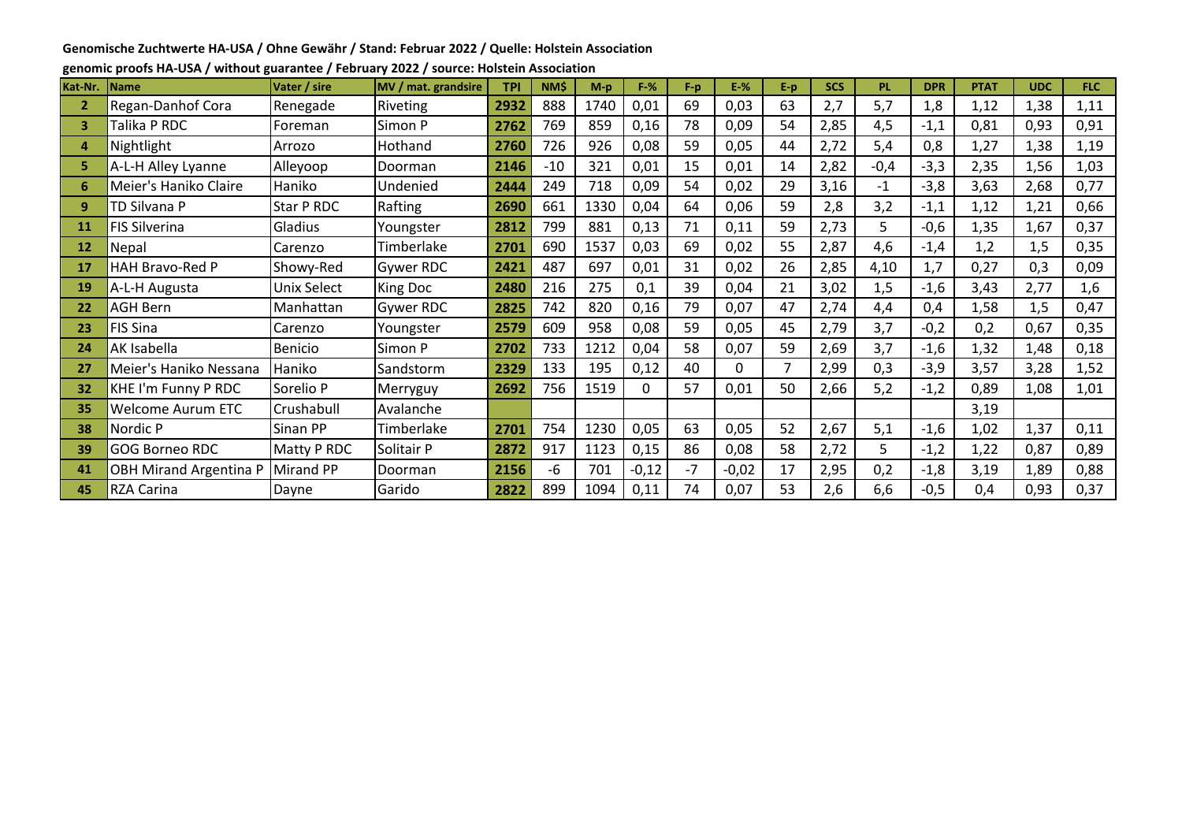#### **Genomische Zuchtwerte HA-USA / Ohne Gewähr / Stand: Februar 2022 / Quelle: Holstein Association**

| Kat-Nr.      | <b>Name</b>                   | Vater / sire | MV / mat. grandsire | <b>TPI</b> | <b>NMS</b> | $M-p$ | $F-%$   | $F-p$ | $E-%$   | E-p | <b>SCS</b> | <b>PL</b> | <b>DPR</b> | <b>PTAT</b> | <b>UDC</b> | FLC: |
|--------------|-------------------------------|--------------|---------------------|------------|------------|-------|---------|-------|---------|-----|------------|-----------|------------|-------------|------------|------|
| $\mathbf{2}$ | Regan-Danhof Cora             | Renegade     | Riveting            | 2932       | 888        | 1740  | 0,01    | 69    | 0,03    | 63  | 2,7        | 5,7       | 1,8        | 1,12        | 1,38       | 1,11 |
| 3            | Talika P RDC                  | Foreman      | Simon P             | 2762       | 769        | 859   | 0,16    | 78    | 0,09    | 54  | 2,85       | 4,5       | $-1,1$     | 0,81        | 0,93       | 0,91 |
| 4            | Nightlight                    | Arrozo       | Hothand             | 2760       | 726        | 926   | 0,08    | 59    | 0,05    | 44  | 2,72       | 5,4       | 0,8        | 1,27        | 1,38       | 1,19 |
| 5.           | A-L-H Alley Lyanne            | Alleyoop     | Doorman             | 2146       | $-10$      | 321   | 0,01    | 15    | 0,01    | 14  | 2,82       | $-0,4$    | $-3,3$     | 2,35        | 1,56       | 1,03 |
| 6.           | Meier's Haniko Claire         | Haniko       | Undenied            | 2444       | 249        | 718   | 0,09    | 54    | 0,02    | 29  | 3,16       | $-1$      | $-3,8$     | 3,63        | 2,68       | 0,77 |
| 9            | TD Silvana P                  | Star P RDC   | Rafting             | 2690       | 661        | 1330  | 0,04    | 64    | 0,06    | 59  | 2,8        | 3,2       | $-1,1$     | 1,12        | 1,21       | 0,66 |
| 11           | <b>FIS Silverina</b>          | Gladius      | Youngster           | 2812       | 799        | 881   | 0,13    | 71    | 0,11    | 59  | 2,73       | 5         | $-0,6$     | 1,35        | 1,67       | 0,37 |
| 12           | Nepal                         | Carenzo      | Timberlake          | 2701       | 690        | 1537  | 0,03    | 69    | 0,02    | 55  | 2,87       | 4,6       | $-1,4$     | 1,2         | 1,5        | 0,35 |
| 17           | HAH Bravo-Red P               | Showy-Red    | Gywer RDC           | 2421       | 487        | 697   | 0,01    | 31    | 0,02    | 26  | 2,85       | 4,10      | 1,7        | 0,27        | 0,3        | 0,09 |
| 19           | A-L-H Augusta                 | Unix Select  | King Doc            | 2480       | 216        | 275   | 0,1     | 39    | 0,04    | 21  | 3,02       | 1,5       | $-1,6$     | 3,43        | 2,77       | 1,6  |
| 22           | <b>AGH Bern</b>               | Manhattan    | <b>Gywer RDC</b>    | 2825       | 742        | 820   | 0,16    | 79    | 0,07    | 47  | 2,74       | 4,4       | 0,4        | 1,58        | 1,5        | 0,47 |
| 23           | <b>FIS Sina</b>               | Carenzo      | Youngster           | 2579       | 609        | 958   | 0,08    | 59    | 0,05    | 45  | 2,79       | 3,7       | $-0,2$     | 0,2         | 0,67       | 0,35 |
| 24           | AK Isabella                   | Benicio      | Simon P             | 2702       | 733        | 1212  | 0,04    | 58    | 0,07    | 59  | 2,69       | 3,7       | $-1,6$     | 1,32        | 1,48       | 0,18 |
| 27           | Meier's Haniko Nessana        | Haniko       | Sandstorm           | 2329       | 133        | 195   | 0,12    | 40    | 0       |     | 2,99       | 0,3       | $-3,9$     | 3,57        | 3,28       | 1,52 |
| 32           | KHE I'm Funny P RDC           | Sorelio P    | Merryguy            | 2692       | 756        | 1519  | 0       | 57    | 0,01    | 50  | 2,66       | 5,2       | $-1,2$     | 0,89        | 1,08       | 1,01 |
| 35           | <b>Welcome Aurum ETC</b>      | Crushabull   | Avalanche           |            |            |       |         |       |         |     |            |           |            | 3,19        |            |      |
| 38           | Nordic P                      | Sinan PP     | Timberlake          | 2701       | 754        | 1230  | 0,05    | 63    | 0,05    | 52  | 2,67       | 5,1       | $-1,6$     | 1,02        | 1,37       | 0,11 |
| 39           | <b>GOG Borneo RDC</b>         | Matty P RDC  | Solitair P          | 2872       | 917        | 1123  | 0,15    | 86    | 0,08    | 58  | 2,72       | 5         | $-1,2$     | 1,22        | 0,87       | 0,89 |
| 41           | <b>OBH Mirand Argentina P</b> | Mirand PP    | Doorman             | 2156       | -6         | 701   | $-0,12$ | $-7$  | $-0,02$ | 17  | 2,95       | 0,2       | $-1,8$     | 3,19        | 1,89       | 0,88 |
| 45           | <b>RZA Carina</b>             | Dayne        | Garido              | 2822       | 899        | 1094  | 0,11    | 74    | 0,07    | 53  | 2,6        | 6,6       | $-0,5$     | 0,4         | 0,93       | 0,37 |

**genomic proofs HA-USA / without guarantee / February 2022 / source: Holstein Association**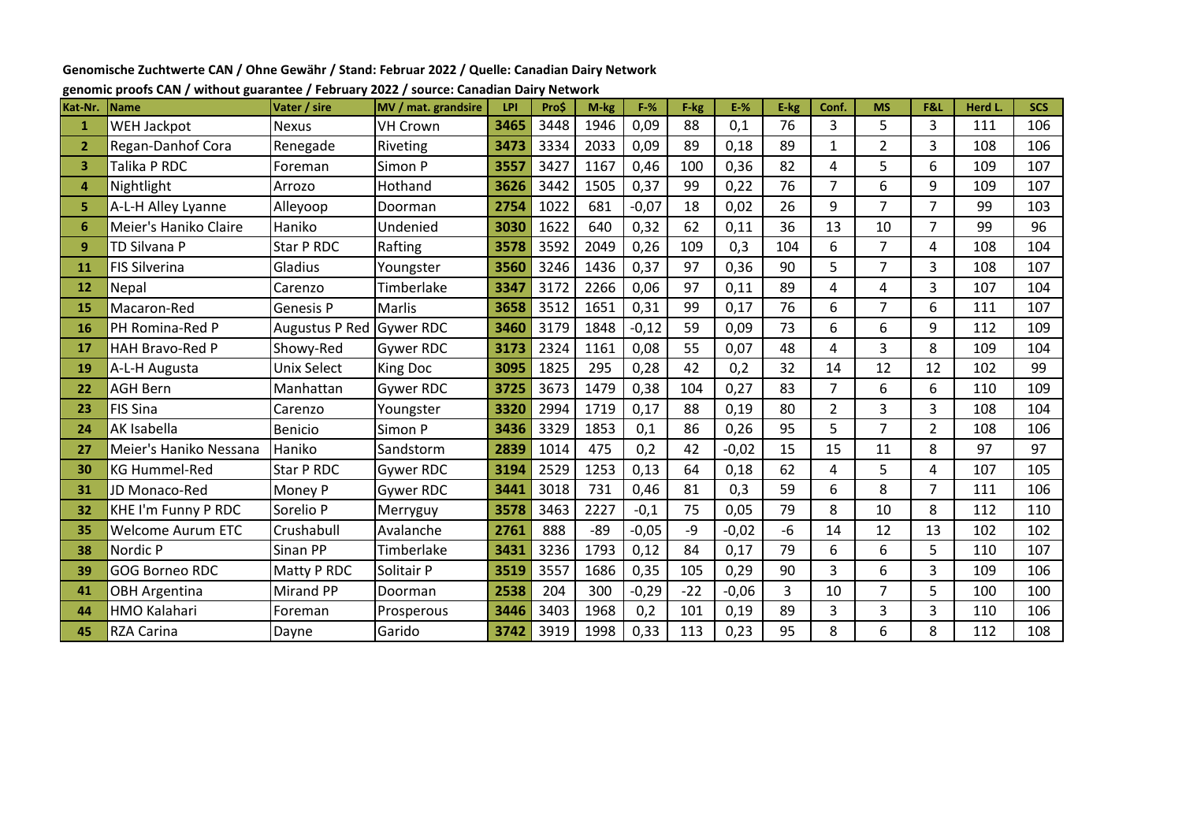**Genomische Zuchtwerte CAN / Ohne Gewähr / Stand: Februar 2022 / Quelle: Canadian Dairy Network**

| Kat-Nr.        | <b>Name</b>              | Vater / sire             | MV / mat. grandsire | LPI  | Pro\$ | M-kg  | $F-%$   | F-kg  | $E-%$   | E-kg | Conf.          | <b>MS</b>      | F&L            | <b>Herd L</b> | <b>SCS</b> |
|----------------|--------------------------|--------------------------|---------------------|------|-------|-------|---------|-------|---------|------|----------------|----------------|----------------|---------------|------------|
| $\mathbf{1}$   | <b>WEH Jackpot</b>       | <b>Nexus</b>             | <b>VH Crown</b>     | 3465 | 3448  | 1946  | 0,09    | 88    | 0,1     | 76   | 3              | 5              | 3              | 111           | 106        |
| $\overline{2}$ | Regan-Danhof Cora        | Renegade                 | Riveting            | 3473 | 3334  | 2033  | 0,09    | 89    | 0,18    | 89   | 1              | $\overline{2}$ | 3              | 108           | 106        |
| 3              | Talika P RDC             | Foreman                  | Simon P             | 3557 | 3427  | 1167  | 0,46    | 100   | 0,36    | 82   | 4              | 5              | 6              | 109           | 107        |
| 4              | Nightlight               | Arrozo                   | Hothand             | 3626 | 3442  | 1505  | 0,37    | 99    | 0,22    | 76   | 7              | 6              | 9              | 109           | 107        |
| 5              | A-L-H Alley Lyanne       | Alleyoop                 | Doorman             | 2754 | 1022  | 681   | $-0,07$ | 18    | 0,02    | 26   | 9              | $\overline{7}$ | $\overline{7}$ | 99            | 103        |
| 6              | Meier's Haniko Claire    | Haniko                   | Undenied            | 3030 | 1622  | 640   | 0,32    | 62    | 0,11    | 36   | 13             | 10             | $\overline{7}$ | 99            | 96         |
| 9              | TD Silvana P             | Star P RDC               | Rafting             | 3578 | 3592  | 2049  | 0,26    | 109   | 0,3     | 104  | 6              | 7              | 4              | 108           | 104        |
| 11             | <b>FIS Silverina</b>     | Gladius                  | Youngster           | 3560 | 3246  | 1436  | 0,37    | 97    | 0,36    | 90   | 5              | $\overline{7}$ | 3              | 108           | 107        |
| 12             | Nepal                    | Carenzo                  | Timberlake          | 3347 | 3172  | 2266  | 0,06    | 97    | 0,11    | 89   | 4              | 4              | 3              | 107           | 104        |
| 15             | Macaron-Red              | <b>Genesis P</b>         | Marlis              | 3658 | 3512  | 1651  | 0,31    | 99    | 0,17    | 76   | 6              | $\overline{7}$ | 6              | 111           | 107        |
| 16             | PH Romina-Red P          | Augustus P Red Gywer RDC |                     | 3460 | 3179  | 1848  | $-0,12$ | 59    | 0,09    | 73   | 6              | 6              | 9              | 112           | 109        |
| 17             | HAH Bravo-Red P          | Showy-Red                | <b>Gywer RDC</b>    | 3173 | 2324  | 1161  | 0,08    | 55    | 0,07    | 48   | 4              | 3              | 8              | 109           | 104        |
| 19             | A-L-H Augusta            | <b>Unix Select</b>       | <b>King Doc</b>     | 3095 | 1825  | 295   | 0,28    | 42    | 0,2     | 32   | 14             | 12             | 12             | 102           | 99         |
| 22             | <b>AGH Bern</b>          | Manhattan                | <b>Gywer RDC</b>    | 3725 | 3673  | 1479  | 0,38    | 104   | 0,27    | 83   | 7              | 6              | 6              | 110           | 109        |
| 23             | FIS Sina                 | Carenzo                  | Youngster           | 3320 | 2994  | 1719  | 0,17    | 88    | 0,19    | 80   | $\overline{2}$ | 3              | $\overline{3}$ | 108           | 104        |
| 24             | AK Isabella              | Benicio                  | Simon P             | 3436 | 3329  | 1853  | 0,1     | 86    | 0,26    | 95   | 5              | 7              | $\overline{2}$ | 108           | 106        |
| 27             | Meier's Haniko Nessana   | Haniko                   | Sandstorm           | 2839 | 1014  | 475   | 0,2     | 42    | $-0,02$ | 15   | 15             | 11             | 8              | 97            | 97         |
| 30             | <b>KG Hummel-Red</b>     | Star P RDC               | <b>Gywer RDC</b>    | 3194 | 2529  | 1253  | 0,13    | 64    | 0,18    | 62   | 4              | 5              | 4              | 107           | 105        |
| 31             | JD Monaco-Red            | Money P                  | <b>Gywer RDC</b>    | 3441 | 3018  | 731   | 0,46    | 81    | 0,3     | 59   | 6              | 8              | $\overline{7}$ | 111           | 106        |
| 32             | KHE I'm Funny P RDC      | Sorelio P                | Merryguy            | 3578 | 3463  | 2227  | $-0,1$  | 75    | 0,05    | 79   | 8              | 10             | 8              | 112           | 110        |
| 35             | <b>Welcome Aurum ETC</b> | Crushabull               | Avalanche           | 2761 | 888   | $-89$ | $-0,05$ | $-9$  | $-0,02$ | $-6$ | 14             | 12             | 13             | 102           | 102        |
| 38             | Nordic P                 | Sinan PP                 | Timberlake          | 3431 | 3236  | 1793  | 0,12    | 84    | 0,17    | 79   | 6              | 6              | 5              | 110           | 107        |
| 39             | <b>GOG Borneo RDC</b>    | Matty P RDC              | Solitair P          | 3519 | 3557  | 1686  | 0,35    | 105   | 0,29    | 90   | 3              | 6              | 3              | 109           | 106        |
| 41             | <b>OBH Argentina</b>     | <b>Mirand PP</b>         | Doorman             | 2538 | 204   | 300   | $-0,29$ | $-22$ | $-0,06$ | 3    | 10             | $\overline{7}$ | 5              | 100           | 100        |
| 44             | <b>HMO Kalahari</b>      | Foreman                  | Prosperous          | 3446 | 3403  | 1968  | 0,2     | 101   | 0,19    | 89   | 3              | 3              | 3              | 110           | 106        |
| 45             | <b>RZA Carina</b>        | Dayne                    | Garido              | 3742 | 3919  | 1998  | 0,33    | 113   | 0,23    | 95   | 8              | 6              | 8              | 112           | 108        |

# **genomic proofs CAN / without guarantee / February 2022 / source: Canadian Dairy Network**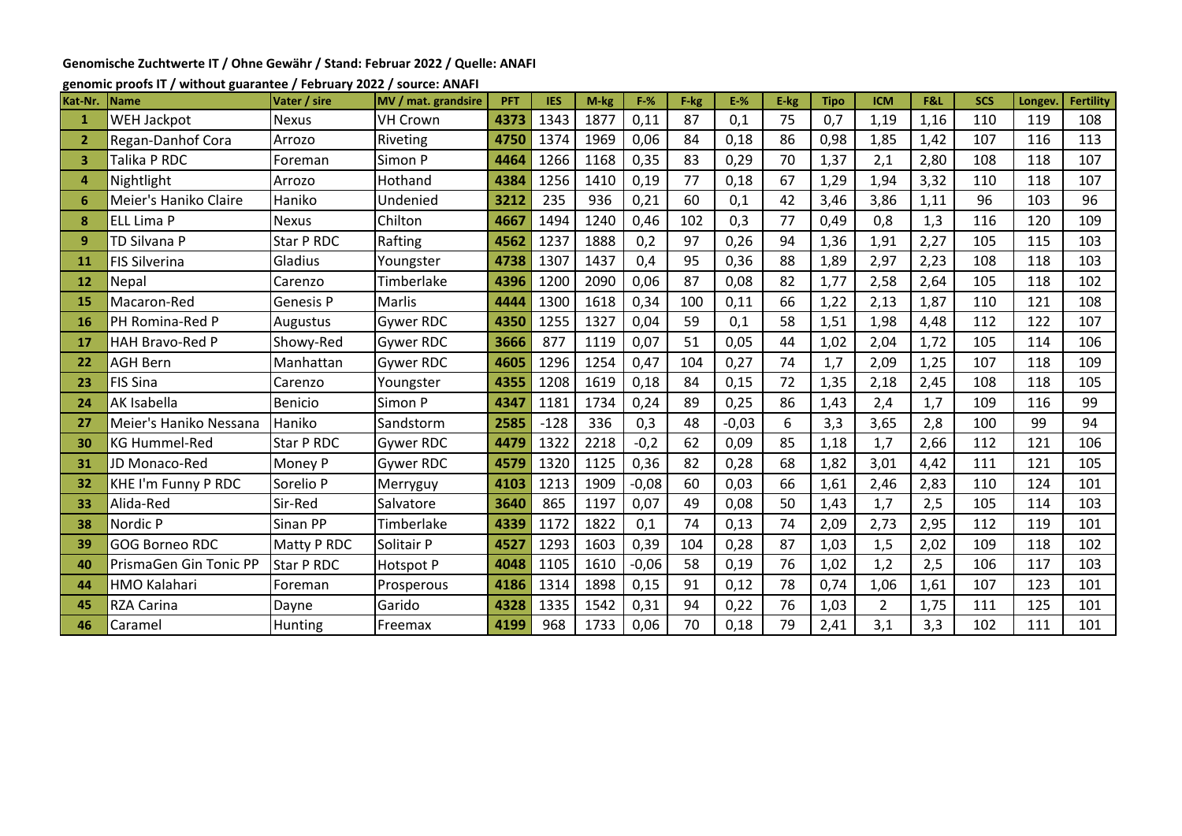## **Genomische Zuchtwerte IT / Ohne Gewähr / Stand: Februar 2022 / Quelle: ANAFI**

#### **genomic proofs IT / without guarantee / February 2022 / source: ANAFI**

| Kat-Nr.        | <b>Name</b>            | Vater / sire      | MV / mat. grandsire | <b>PFT</b> | <b>IES</b> | M-kg | $F-%$   | F-kg | $E-%$   | E-kg | <b>Tipo</b> | <b>ICM</b>     | F&L  | <b>SCS</b> | Longev | <b>Fertility</b> |
|----------------|------------------------|-------------------|---------------------|------------|------------|------|---------|------|---------|------|-------------|----------------|------|------------|--------|------------------|
| 1              | WEH Jackpot            | <b>Nexus</b>      | <b>VH Crown</b>     | 4373       | 1343       | 1877 | 0,11    | 87   | 0,1     | 75   | 0,7         | 1,19           | 1,16 | 110        | 119    | 108              |
| $\overline{2}$ | Regan-Danhof Cora      | Arrozo            | Riveting            | 4750       | 1374       | 1969 | 0,06    | 84   | 0,18    | 86   | 0,98        | 1,85           | 1,42 | 107        | 116    | 113              |
| з              | Talika P RDC           | Foreman           | Simon P             | 4464       | 1266       | 1168 | 0,35    | 83   | 0,29    | 70   | 1,37        | 2,1            | 2,80 | 108        | 118    | 107              |
| Δ              | Nightlight             | Arrozo            | Hothand             | 4384       | 1256       | 1410 | 0,19    | 77   | 0,18    | 67   | 1,29        | 1,94           | 3,32 | 110        | 118    | 107              |
| 6              | Meier's Haniko Claire  | Haniko            | Undenied            | 3212       | 235        | 936  | 0,21    | 60   | 0,1     | 42   | 3,46        | 3,86           | 1,11 | 96         | 103    | 96               |
| 8              | ELL Lima P             | <b>Nexus</b>      | Chilton             | 4667       | 1494       | 1240 | 0,46    | 102  | 0,3     | 77   | 0,49        | 0,8            | 1,3  | 116        | 120    | 109              |
| 9              | TD Silvana P           | Star P RDC        | Rafting             | 4562       | 1237       | 1888 | 0,2     | 97   | 0,26    | 94   | 1,36        | 1,91           | 2,27 | 105        | 115    | 103              |
| 11             | <b>FIS Silverina</b>   | Gladius           | Youngster           | 4738       | 1307       | 1437 | 0,4     | 95   | 0,36    | 88   | 1,89        | 2,97           | 2,23 | 108        | 118    | 103              |
| 12             | Nepal                  | Carenzo           | Timberlake          | 4396       | 1200       | 2090 | 0,06    | 87   | 0,08    | 82   | 1,77        | 2,58           | 2,64 | 105        | 118    | 102              |
| 15             | Macaron-Red            | Genesis P         | Marlis              | 4444       | 1300       | 1618 | 0,34    | 100  | 0,11    | 66   | 1,22        | 2,13           | 1,87 | 110        | 121    | 108              |
| 16             | PH Romina-Red P        | Augustus          | Gywer RDC           | 4350       | 1255       | 1327 | 0,04    | 59   | 0,1     | 58   | 1,51        | 1,98           | 4,48 | 112        | 122    | 107              |
| 17             | HAH Bravo-Red P        | Showy-Red         | <b>Gywer RDC</b>    | 3666       | 877        | 1119 | 0,07    | 51   | 0,05    | 44   | 1,02        | 2,04           | 1,72 | 105        | 114    | 106              |
| 22             | <b>AGH Bern</b>        | Manhattan         | <b>Gywer RDC</b>    | 4605       | 1296       | 1254 | 0,47    | 104  | 0,27    | 74   | 1,7         | 2,09           | 1,25 | 107        | 118    | 109              |
| 23             | <b>FIS Sina</b>        | Carenzo           | Youngster           | 4355       | 1208       | 1619 | 0,18    | 84   | 0,15    | 72   | 1,35        | 2,18           | 2,45 | 108        | 118    | 105              |
| 24             | AK Isabella            | <b>Benicio</b>    | Simon P             | 4347       | 1181       | 1734 | 0,24    | 89   | 0,25    | 86   | 1,43        | 2,4            | 1,7  | 109        | 116    | 99               |
| 27             | Meier's Haniko Nessana | Haniko            | Sandstorm           | 2585       | $-128$     | 336  | 0,3     | 48   | $-0,03$ | 6    | 3,3         | 3,65           | 2,8  | 100        | 99     | 94               |
| 30             | <b>KG Hummel-Red</b>   | Star P RDC        | Gywer RDC           | 4479       | 1322       | 2218 | $-0,2$  | 62   | 0,09    | 85   | 1,18        | 1,7            | 2,66 | 112        | 121    | 106              |
| 31             | JD Monaco-Red          | Money P           | Gywer RDC           | 4579       | 1320       | 1125 | 0,36    | 82   | 0,28    | 68   | 1,82        | 3,01           | 4,42 | 111        | 121    | 105              |
| 32             | KHE I'm Funny P RDC    | Sorelio P         | Merryguy            | 4103       | 1213       | 1909 | $-0,08$ | 60   | 0,03    | 66   | 1,61        | 2,46           | 2,83 | 110        | 124    | 101              |
| 33             | Alida-Red              | Sir-Red           | Salvatore           | 3640       | 865        | 1197 | 0,07    | 49   | 0,08    | 50   | 1,43        | 1,7            | 2,5  | 105        | 114    | 103              |
| 38             | Nordic P               | Sinan PP          | Timberlake          | 4339       | 1172       | 1822 | 0,1     | 74   | 0,13    | 74   | 2,09        | 2,73           | 2,95 | 112        | 119    | 101              |
| 39             | <b>GOG Borneo RDC</b>  | Matty P RDC       | Solitair P          | 4527       | 1293       | 1603 | 0,39    | 104  | 0,28    | 87   | 1,03        | 1,5            | 2,02 | 109        | 118    | 102              |
| 40             | PrismaGen Gin Tonic PP | <b>Star P RDC</b> | <b>Hotspot P</b>    | 4048       | 1105       | 1610 | $-0,06$ | 58   | 0,19    | 76   | 1,02        | 1,2            | 2,5  | 106        | 117    | 103              |
| 44             | <b>HMO Kalahari</b>    | Foreman           | Prosperous          | 4186       | 1314       | 1898 | 0,15    | 91   | 0,12    | 78   | 0,74        | 1,06           | 1,61 | 107        | 123    | 101              |
| 45             | <b>RZA Carina</b>      | Dayne             | Garido              | 4328       | 1335       | 1542 | 0,31    | 94   | 0,22    | 76   | 1,03        | $\overline{2}$ | 1,75 | 111        | 125    | 101              |
| 46             | Caramel                | Hunting           | Freemax             | 4199       | 968        | 1733 | 0,06    | 70   | 0,18    | 79   | 2,41        | 3,1            | 3,3  | 102        | 111    | 101              |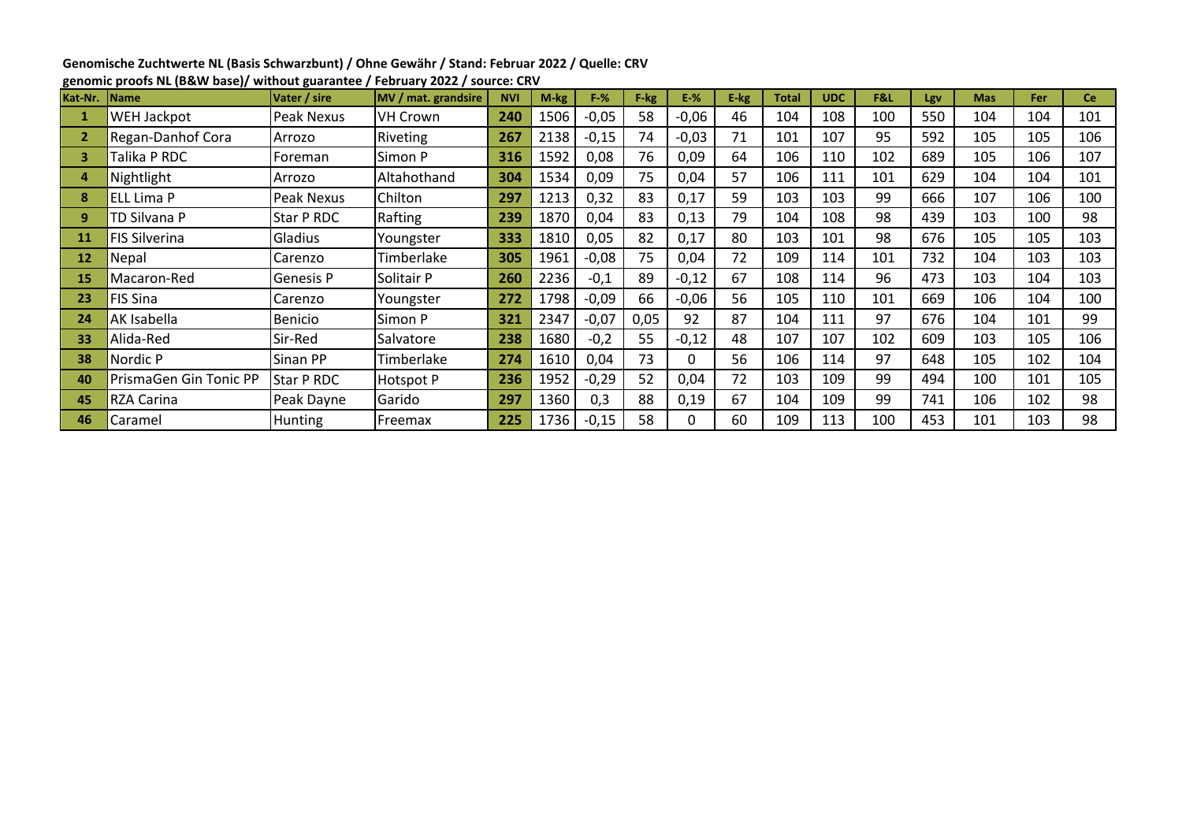| Genomische Zuchtwerte NL (Basis Schwarzbunt) / Ohne Gewähr / Stand: Februar 2022 / Quelle: CRV |
|------------------------------------------------------------------------------------------------|
| genomic proofs NL (B&W base)/ without guarantee / February 2022 / source: CRV                  |

| Kat-Nr. | <b>Name</b>            | Vater / sire      | MV / mat. grandsire | <b>NVI</b> | M-kg | $F-%$   | F-kg | $E-%$   | E-kg | <b>Total</b> | <b>UDC</b> | F&L | Lgv | <b>Mas</b> | Fer | <b>Ce</b> |
|---------|------------------------|-------------------|---------------------|------------|------|---------|------|---------|------|--------------|------------|-----|-----|------------|-----|-----------|
|         | WEH Jackpot            | Peak Nexus        | <b>VH Crown</b>     | 240        | 1506 | $-0,05$ | 58   | $-0,06$ | 46   | 104          | 108        | 100 | 550 | 104        | 104 | 101       |
|         | Regan-Danhof Cora      | Arrozo            | <b>Riveting</b>     | 267        | 2138 | $-0,15$ | 74   | $-0,03$ | 71   | 101          | 107        | 95  | 592 | 105        | 105 | 106       |
| 3       | Talika P RDC           | Foreman           | Simon P             | 316        | 1592 | 0,08    | 76   | 0,09    | 64   | 106          | 110        | 102 | 689 | 105        | 106 | 107       |
| 4       | Nightlight             | Arrozo            | Altahothand         | 304        | 1534 | 0,09    | 75   | 0,04    | 57   | 106          | 111        | 101 | 629 | 104        | 104 | 101       |
| 8       | ELL Lima P             | Peak Nexus        | Chilton             | 297        | 1213 | 0,32    | 83   | 0,17    | 59   | 103          | 103        | 99  | 666 | 107        | 106 | 100       |
| 9       | TD Silvana P           | Star P RDC        | Rafting             | 239        | 1870 | 0,04    | 83   | 0,13    | 79   | 104          | 108        | 98  | 439 | 103        | 100 | 98        |
| 11      | <b>FIS Silverina</b>   | Gladius           | Youngster           | 333        | 1810 | 0,05    | 82   | 0,17    | 80   | 103          | 101        | 98  | 676 | 105        | 105 | 103       |
| 12      | Nepal                  | Carenzo           | Timberlake          | 305        | 1961 | $-0,08$ | 75   | 0,04    | 72   | 109          | 114        | 101 | 732 | 104        | 103 | 103       |
| 15      | Macaron-Red            | <b>Genesis P</b>  | Solitair P          | 260        | 2236 | $-0,1$  | 89   | $-0,12$ | 67   | 108          | 114        | 96  | 473 | 103        | 104 | 103       |
| 23      | FIS Sina               | Carenzo           | Youngster           | 272        | 1798 | $-0,09$ | 66   | $-0,06$ | 56   | 105          | 110        | 101 | 669 | 106        | 104 | 100       |
| 24      | AK Isabella            | <b>Benicio</b>    | Simon P             | 321        | 2347 | $-0,07$ | 0,05 | 92      | 87   | 104          | 111        | 97  | 676 | 104        | 101 | 99        |
| 33      | Alida-Red              | Sir-Red           | Salvatore           | 238        | 1680 | $-0,2$  | 55   | $-0,12$ | 48   | 107          | 107        | 102 | 609 | 103        | 105 | 106       |
| 38      | Nordic P               | Sinan PP          | Timberlake          | 274        | 1610 | 0,04    | 73   | 0       | 56   | 106          | 114        | 97  | 648 | 105        | 102 | 104       |
| 40      | PrismaGen Gin Tonic PP | <b>Star P RDC</b> | Hotspot P           | 236        | 1952 | $-0,29$ | 52   | 0,04    | 72   | 103          | 109        | 99  | 494 | 100        | 101 | 105       |
| 45      | <b>RZA Carina</b>      | Peak Dayne        | Garido              | 297        | 1360 | 0,3     | 88   | 0,19    | 67   | 104          | 109        | 99  | 741 | 106        | 102 | 98        |
| 46      | Caramel                | <b>Hunting</b>    | Freemax             | 225        | 1736 | $-0,15$ | 58   | 0       | 60   | 109          | 113        | 100 | 453 | 101        | 103 | 98        |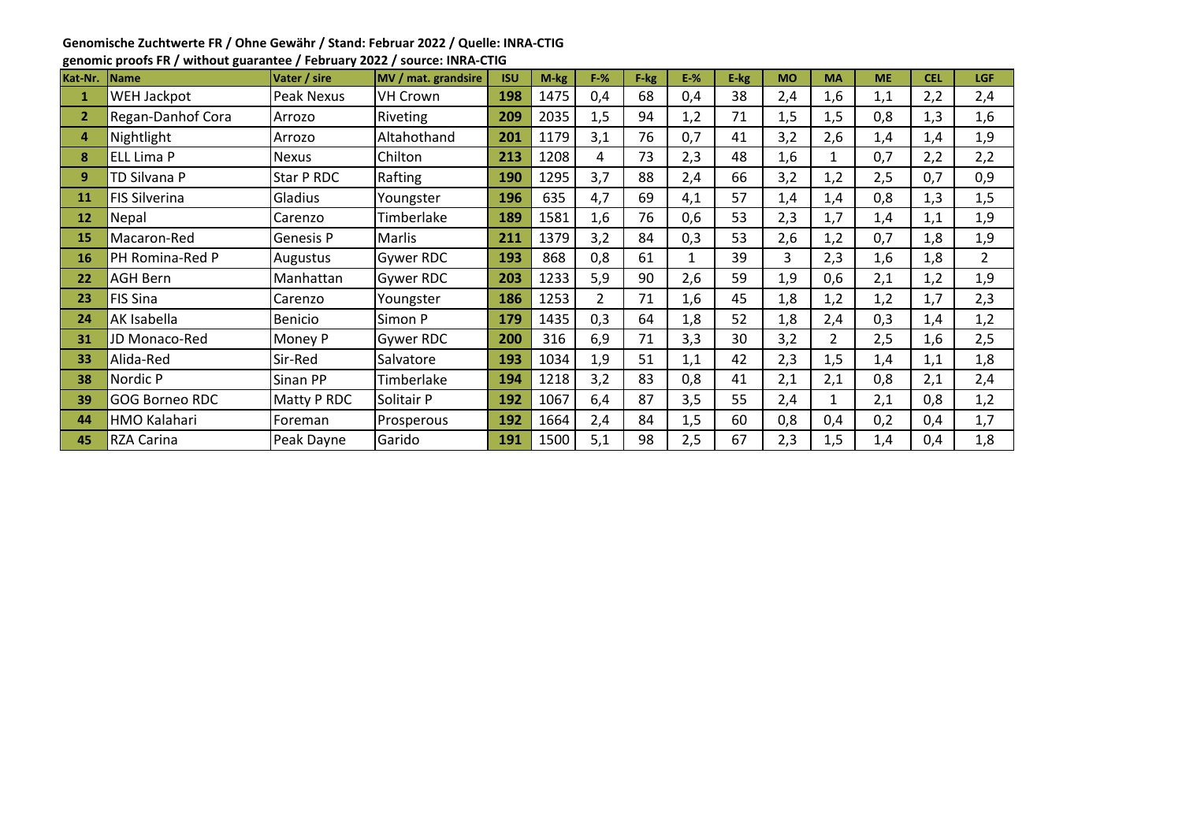## **Genomische Zuchtwerte FR / Ohne Gewähr / Stand: Februar 2022 / Quelle: INRA-CTIG**

|                | denomische Zuchtwerte FK / Onne dewani / Stand. Februar 2022 / Quelle. INKA-CTIG |                |                     |            |        |       |      |        |      |           |                |           |            |                |
|----------------|----------------------------------------------------------------------------------|----------------|---------------------|------------|--------|-------|------|--------|------|-----------|----------------|-----------|------------|----------------|
|                | genomic proofs FR / without guarantee / February 2022 / source: INRA-CTIG        |                |                     |            |        |       |      |        |      |           |                |           |            |                |
| Kat-Nr.        | <b>Name</b>                                                                      | Vater / sire   | MV / mat. grandsire | <b>ISU</b> | $M-kg$ | $F-%$ | F-kg | $E-$ % | E-kg | <b>MO</b> | <b>MA</b>      | <b>ME</b> | <b>CEL</b> | <b>LGF</b>     |
| $\mathbf{1}$   | <b>WEH Jackpot</b>                                                               | Peak Nexus     | <b>VH Crown</b>     | 198        | 1475   | 0,4   | 68   | 0,4    | 38   | 2,4       | 1,6            | 1,1       | 2,2        | 2,4            |
| $\overline{2}$ | Regan-Danhof Cora                                                                | Arrozo         | Riveting            | 209        | 2035   | 1,5   | 94   | 1,2    | 71   | 1,5       | 1,5            | 0,8       | 1,3        | 1,6            |
| 4              | Nightlight                                                                       | Arrozo         | Altahothand         | 201        | 1179   | 3,1   | 76   | 0,7    | 41   | 3,2       | 2,6            | 1,4       | 1,4        | 1,9            |
| 8              | <b>ELL Lima P</b>                                                                | <b>Nexus</b>   | Chilton             | 213        | 1208   | 4     | 73   | 2,3    | 48   | 1,6       | $\mathbf{1}$   | 0,7       | 2,2        | 2,2            |
| 9              | TD Silvana P                                                                     | Star P RDC     | Rafting             | <b>190</b> | 1295   | 3,7   | 88   | 2,4    | 66   | 3,2       | 1,2            | 2,5       | 0,7        | 0,9            |
| 11             | <b>FIS Silverina</b>                                                             | Gladius        | Youngster           | 196        | 635    | 4,7   | 69   | 4,1    | 57   | 1,4       | 1,4            | 0,8       | 1,3        | 1,5            |
| 12             | Nepal                                                                            | Carenzo        | Timberlake          | 189        | 1581   | 1,6   | 76   | 0,6    | 53   | 2,3       | 1,7            | 1,4       | 1,1        | 1,9            |
| 15             | Macaron-Red                                                                      | Genesis P      | <b>Marlis</b>       | 211        | 1379   | 3,2   | 84   | 0,3    | 53   | 2,6       | 1,2            | 0,7       | 1,8        | 1,9            |
| 16             | PH Romina-Red P                                                                  | Augustus       | Gywer RDC           | 193        | 868    | 0,8   | 61   | 1      | 39   | 3         | 2,3            | 1,6       | 1,8        | $\overline{2}$ |
| 22             | <b>AGH Bern</b>                                                                  | Manhattan      | Gywer RDC           | 203        | 1233   | 5,9   | 90   | 2,6    | 59   | 1,9       | 0,6            | 2,1       | 1,2        | 1,9            |
| 23             | FIS Sina                                                                         | Carenzo        | Youngster           | 186        | 1253   | 2     | 71   | 1,6    | 45   | 1,8       | 1,2            | 1,2       | 1,7        | 2,3            |
| 24             | AK Isabella                                                                      | <b>Benicio</b> | Simon P             | 179        | 1435   | 0,3   | 64   | 1,8    | 52   | 1,8       | 2,4            | 0,3       | 1,4        | 1,2            |
| 31             | JD Monaco-Red                                                                    | Money P        | Gywer RDC           | 200        | 316    | 6,9   | 71   | 3,3    | 30   | 3,2       | $\overline{2}$ | 2,5       | 1,6        | 2,5            |
| 33             | Alida-Red                                                                        | Sir-Red        | Salvatore           | 193        | 1034   | 1,9   | 51   | 1,1    | 42   | 2,3       | 1,5            | 1,4       | 1,1        | 1,8            |

 Nordic P Sinan PP Timberlake **194** 1218 3,2 83 0,8 41 2,1 2,1 0,8 2,1 2,4 GOG Borneo RDC Matty P RDC Solitair P **192** 1067 6,4 87 3,5 55 2,4 1 2,1 0,8 1,2 HMO Kalahari Foreman Prosperous **192** 1664 2,4 84 1,5 60 0,8 0,4 0,2 0,4 1,7 RZA Carina Peak Dayne Garido **191** 1500 5,1 98 2,5 67 2,3 1,5 1,4 0,4 1,8